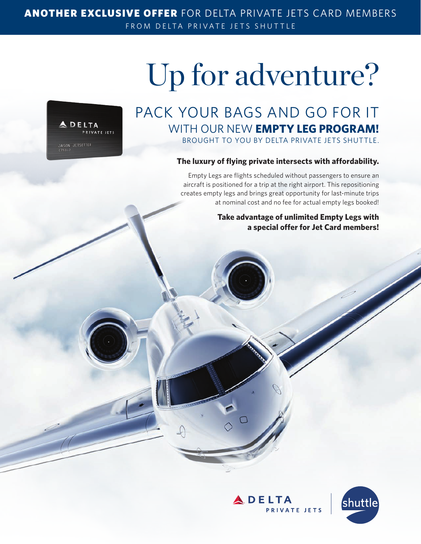### ANOTHER EXCLUSIVE OFFER FOR DELTA PRIVATE JETS CARD MEMBERS FROM DELTA PRIVATE JETS SHUTTLE

# Up for adventure?



## PACK YOUR BAGS AND GO FOR IT WITH OUR NEW **EMPTY LEG PROGRAM!** BROUGHT TO YOU BY DELTA PRIVATE JETS SHUTTLE.

#### **The luxury of flying private intersects with affordability.**

Empty Legs are flights scheduled without passengers to ensure an aircraft is positioned for a trip at the right airport. This repositioning creates empty legs and brings great opportunity for last-minute trips at nominal cost and no fee for actual empty legs booked!

### **Take advantage of unlimited Empty Legs with a special offer for Jet Card members!**